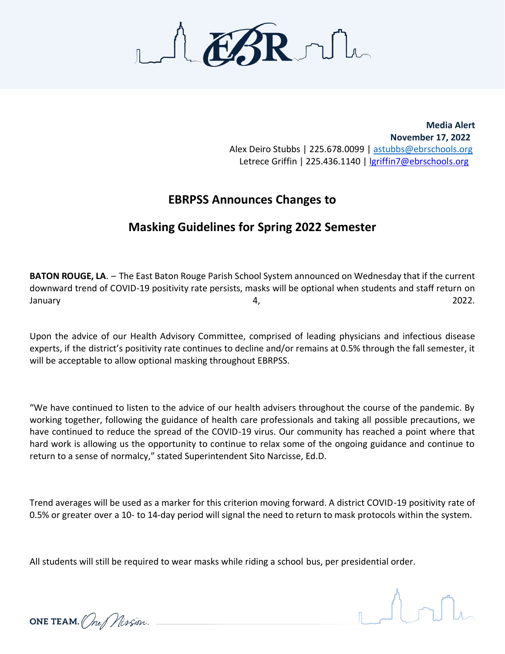

**Media Alert November 17, 2022** Alex Deiro Stubbs | 225.678.0099 | [astubbs@ebrschools.org](mailto:astubbs@ebrschools.org) Letrece Griffin | 225.436.1140 | [lgriffin7@ebrschools.org](mailto:lgriffin7@ebrschools.org)

## **EBRPSS Announces Changes to**

## **Masking Guidelines for Spring 2022 Semester**

**BATON ROUGE, LA**. – The East Baton Rouge Parish School System announced on Wednesday that if the current downward trend of COVID-19 positivity rate persists, masks will be optional when students and staff return on January 4, 2022.

Upon the advice of our Health Advisory Committee, comprised of leading physicians and infectious disease experts, if the district's positivity rate continues to decline and/or remains at 0.5% through the fall semester, it will be acceptable to allow optional masking throughout EBRPSS.

"We have continued to listen to the advice of our health advisers throughout the course of the pandemic. By working together, following the guidance of health care professionals and taking all possible precautions, we have continued to reduce the spread of the COVID-19 virus. Our community has reached a point where that hard work is allowing us the opportunity to continue to relax some of the ongoing guidance and continue to return to a sense of normalcy," stated Superintendent Sito Narcisse, Ed.D.

Trend averages will be used as a marker for this criterion moving forward. A district COVID-19 positivity rate of 0.5% or greater over a 10- to 14-day period will signal the need to return to mask protocols within the system.

All students will still be required to wear masks while riding a school bus, per presidential order.



ONE TEAM. (Ine Mission.